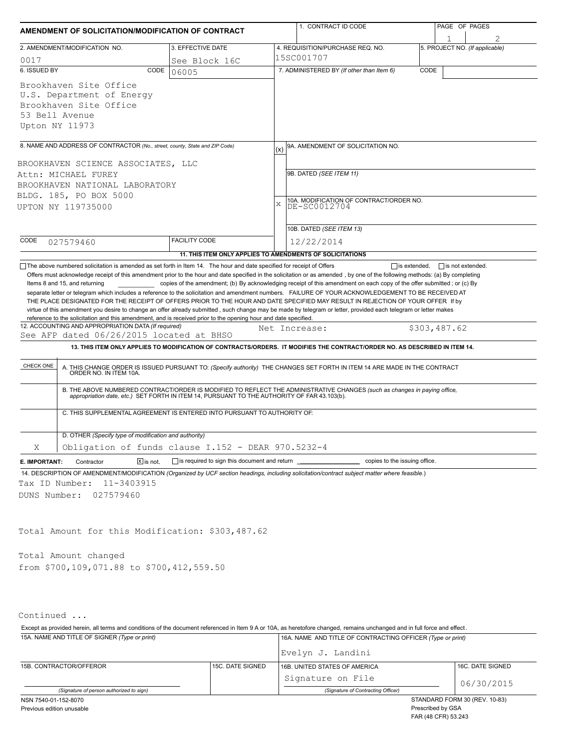| AMENDMENT OF SOLICITATION/MODIFICATION OF CONTRACT                                                                                                                                                                              |                                                                          | 1. CONTRACT ID CODE                                                                                                                                                                                                                                                                                                                                                                                                                                                                                                                                                                                                                                                                                                                                                                                                                | PAGE OF PAGES                  |
|---------------------------------------------------------------------------------------------------------------------------------------------------------------------------------------------------------------------------------|--------------------------------------------------------------------------|------------------------------------------------------------------------------------------------------------------------------------------------------------------------------------------------------------------------------------------------------------------------------------------------------------------------------------------------------------------------------------------------------------------------------------------------------------------------------------------------------------------------------------------------------------------------------------------------------------------------------------------------------------------------------------------------------------------------------------------------------------------------------------------------------------------------------------|--------------------------------|
|                                                                                                                                                                                                                                 |                                                                          |                                                                                                                                                                                                                                                                                                                                                                                                                                                                                                                                                                                                                                                                                                                                                                                                                                    |                                |
| 2. AMENDMENT/MODIFICATION NO.                                                                                                                                                                                                   | 3. EFFECTIVE DATE                                                        | 4. REQUISITION/PURCHASE REQ. NO.<br>15SC001707                                                                                                                                                                                                                                                                                                                                                                                                                                                                                                                                                                                                                                                                                                                                                                                     | 5. PROJECT NO. (If applicable) |
| 0017<br>6. ISSUED BY                                                                                                                                                                                                            | See Block 16C<br>CODE<br>06005                                           | 7. ADMINISTERED BY (If other than Item 6)                                                                                                                                                                                                                                                                                                                                                                                                                                                                                                                                                                                                                                                                                                                                                                                          | CODE                           |
| Brookhaven Site Office<br>U.S. Department of Energy<br>Brookhaven Site Office<br>53 Bell Avenue<br>Upton NY 11973                                                                                                               |                                                                          |                                                                                                                                                                                                                                                                                                                                                                                                                                                                                                                                                                                                                                                                                                                                                                                                                                    |                                |
| 8. NAME AND ADDRESS OF CONTRACTOR (No., street, county, State and ZIP Code)                                                                                                                                                     |                                                                          | 9A. AMENDMENT OF SOLICITATION NO.<br>(x)                                                                                                                                                                                                                                                                                                                                                                                                                                                                                                                                                                                                                                                                                                                                                                                           |                                |
| BROOKHAVEN SCIENCE ASSOCIATES, LLC<br>Attn: MICHAEL FUREY<br>BROOKHAVEN NATIONAL LABORATORY<br>BLDG. 185, PO BOX 5000<br>UPTON NY 119735000                                                                                     |                                                                          | 9B. DATED (SEE ITEM 11)<br>10A. MODIFICATION OF CONTRACT/ORDER NO.<br>DE-SC0012704<br>X                                                                                                                                                                                                                                                                                                                                                                                                                                                                                                                                                                                                                                                                                                                                            |                                |
|                                                                                                                                                                                                                                 |                                                                          | 10B. DATED (SEE ITEM 13)                                                                                                                                                                                                                                                                                                                                                                                                                                                                                                                                                                                                                                                                                                                                                                                                           |                                |
| CODE<br>027579460                                                                                                                                                                                                               | <b>FACILITY CODE</b>                                                     | 12/22/2014                                                                                                                                                                                                                                                                                                                                                                                                                                                                                                                                                                                                                                                                                                                                                                                                                         |                                |
|                                                                                                                                                                                                                                 |                                                                          | 11. THIS ITEM ONLY APPLIES TO AMENDMENTS OF SOLICITATIONS                                                                                                                                                                                                                                                                                                                                                                                                                                                                                                                                                                                                                                                                                                                                                                          |                                |
| reference to the solicitation and this amendment, and is received prior to the opening hour and date specified.<br>12. ACCOUNTING AND APPROPRIATION DATA (If required)<br>See AFP dated 06/26/2015 located at BHSO<br>CHECK ONE | C. THIS SUPPLEMENTAL AGREEMENT IS ENTERED INTO PURSUANT TO AUTHORITY OF: | THE PLACE DESIGNATED FOR THE RECEIPT OF OFFERS PRIOR TO THE HOUR AND DATE SPECIFIED MAY RESULT IN REJECTION OF YOUR OFFER If by<br>virtue of this amendment you desire to change an offer already submitted, such change may be made by telegram or letter, provided each telegram or letter makes<br>Net Increase:<br>13. THIS ITEM ONLY APPLIES TO MODIFICATION OF CONTRACTS/ORDERS. IT MODIFIES THE CONTRACT/ORDER NO. AS DESCRIBED IN ITEM 14.<br>A. THIS CHANGE ORDER IS ISSUED PURSUANT TO: (Specify authority) THE CHANGES SET FORTH IN ITEM 14 ARE MADE IN THE CONTRACT ORDER NO. IN ITEM 10A.<br>B. THE ABOVE NUMBERED CONTRACT/ORDER IS MODIFIED TO REFLECT THE ADMINISTRATIVE CHANGES (such as changes in paying office,<br>appropriation date, etc.) SET FORTH IN ITEM 14, PURSUANT TO THE AUTHORITY OF FAR 43.103(b). | \$303,487.62                   |
| D. OTHER (Specify type of modification and authority)                                                                                                                                                                           |                                                                          |                                                                                                                                                                                                                                                                                                                                                                                                                                                                                                                                                                                                                                                                                                                                                                                                                                    |                                |
| Χ                                                                                                                                                                                                                               | Obligation of funds clause I.152 - DEAR 970.5232-4                       |                                                                                                                                                                                                                                                                                                                                                                                                                                                                                                                                                                                                                                                                                                                                                                                                                                    |                                |
| $\boxed{\mathsf{X}}$ is not.<br>E. IMPORTANT:<br>Contractor                                                                                                                                                                     | is required to sign this document and return                             | ___ copies to the issuing office.                                                                                                                                                                                                                                                                                                                                                                                                                                                                                                                                                                                                                                                                                                                                                                                                  |                                |
| 14. DESCRIPTION OF AMENDMENT/MODIFICATION (Organized by UCF section headings, including solicitation/contract subject matter where feasible.)<br>Tax ID Number:<br>11-3403915<br>DUNS Number:<br>027579460                      |                                                                          |                                                                                                                                                                                                                                                                                                                                                                                                                                                                                                                                                                                                                                                                                                                                                                                                                                    |                                |
| Total Amount for this Modification: \$303,487.62                                                                                                                                                                                |                                                                          |                                                                                                                                                                                                                                                                                                                                                                                                                                                                                                                                                                                                                                                                                                                                                                                                                                    |                                |
| Total Amount changed<br>from \$700,109,071.88 to \$700,412,559.50                                                                                                                                                               |                                                                          |                                                                                                                                                                                                                                                                                                                                                                                                                                                                                                                                                                                                                                                                                                                                                                                                                                    |                                |
| Continued                                                                                                                                                                                                                       |                                                                          |                                                                                                                                                                                                                                                                                                                                                                                                                                                                                                                                                                                                                                                                                                                                                                                                                                    |                                |
| Except as provided herein, all terms and conditions of the document referenced in Item 9 A or 10A, as heretofore changed, remains unchanged and in full force and effect.                                                       |                                                                          |                                                                                                                                                                                                                                                                                                                                                                                                                                                                                                                                                                                                                                                                                                                                                                                                                                    |                                |
| 15A. NAME AND TITLE OF SIGNER (Type or print)                                                                                                                                                                                   |                                                                          | 16A. NAME AND TITLE OF CONTRACTING OFFICER (Type or print)<br>Evelyn J. Landini                                                                                                                                                                                                                                                                                                                                                                                                                                                                                                                                                                                                                                                                                                                                                    |                                |
| 15B. CONTRACTOR/OFFEROR                                                                                                                                                                                                         | 15C. DATE SIGNED                                                         | 16B. UNITED STATES OF AMERICA                                                                                                                                                                                                                                                                                                                                                                                                                                                                                                                                                                                                                                                                                                                                                                                                      | 16C. DATE SIGNED               |
|                                                                                                                                                                                                                                 |                                                                          |                                                                                                                                                                                                                                                                                                                                                                                                                                                                                                                                                                                                                                                                                                                                                                                                                                    |                                |

*(Signature of person authorized to sign) (Signature of Contracting Officer)*

Signature on File 06/30/2015